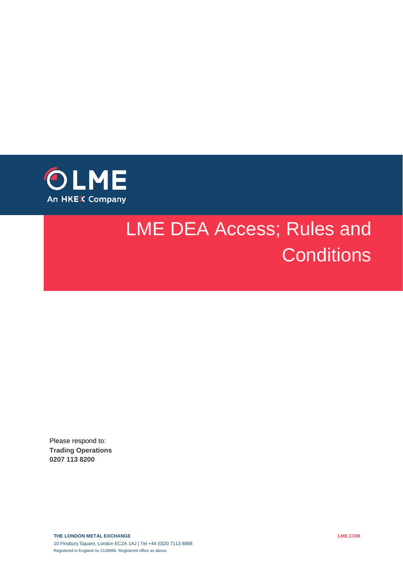

# LME DEA Access; Rules and **Conditions**

Please respond to: **Trading Operations 0207 113 8200**

**THE LONDON METAL EXCHANGE** 10 Finsbury Square, London EC2A 1AJ | Tel +44 (0)20 7113 8888 Registered in England no 2128666. Registered office as above.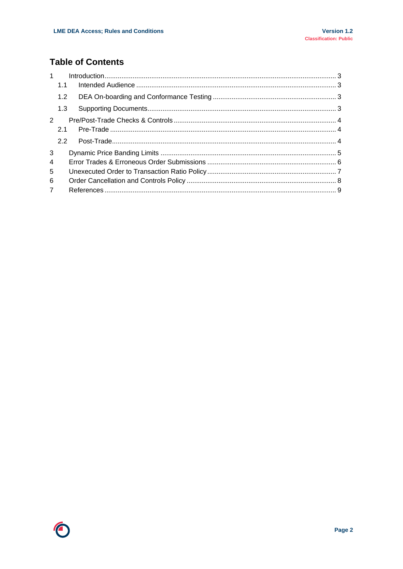### **Table of Contents**

| 1              |     |  |  |
|----------------|-----|--|--|
|                | 1.1 |  |  |
|                | 1.2 |  |  |
|                | 1.3 |  |  |
| 2              |     |  |  |
|                | 2.1 |  |  |
|                |     |  |  |
| 3              |     |  |  |
| $\overline{4}$ |     |  |  |
| 5              |     |  |  |
| 6              |     |  |  |
| $\overline{7}$ |     |  |  |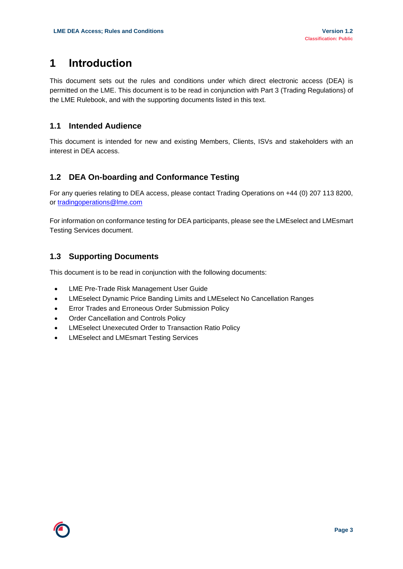## <span id="page-2-0"></span>**1 Introduction**

This document sets out the rules and conditions under which direct electronic access (DEA) is permitted on the LME. This document is to be read in conjunction with Part 3 (Trading Regulations) of the LME Rulebook, and with the supporting documents listed in this text.

#### <span id="page-2-1"></span>**1.1 Intended Audience**

This document is intended for new and existing Members, Clients, ISVs and stakeholders with an interest in DEA access.

#### <span id="page-2-2"></span>**1.2 DEA On-boarding and Conformance Testing**

For any queries relating to DEA access, please contact Trading Operations on +44 (0) 207 113 8200, or [tradingoperations@lme.com](mailto:tradingoperations@lme.com) 

For information on conformance testing for DEA participants, please see the LMEselect and LMEsmart Testing Services document.

#### <span id="page-2-3"></span>**1.3 Supporting Documents**

This document is to be read in conjunction with the following documents:

- LME Pre-Trade Risk Management User Guide
- LMEselect Dynamic Price Banding Limits and LMEselect No Cancellation Ranges
- **•** Error Trades and Erroneous Order Submission Policy
- Order Cancellation and Controls Policy
- LMEselect Unexecuted Order to Transaction Ratio Policy
- LMEselect and LMEsmart Testing Services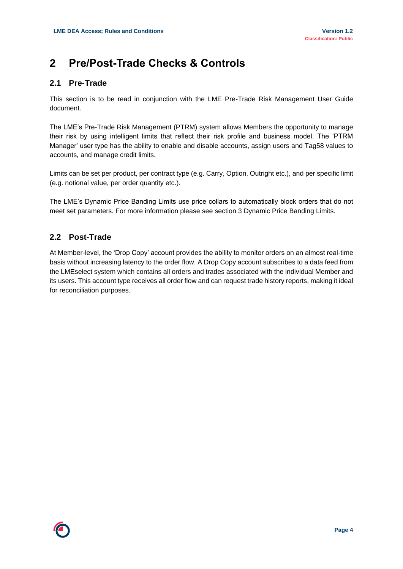## <span id="page-3-0"></span>**2 Pre/Post-Trade Checks & Controls**

#### <span id="page-3-1"></span>**2.1 Pre-Trade**

This section is to be read in conjunction with the LME Pre-Trade Risk Management User Guide document.

The LME's Pre-Trade Risk Management (PTRM) system allows Members the opportunity to manage their risk by using intelligent limits that reflect their risk profile and business model. The 'PTRM Manager' user type has the ability to enable and disable accounts, assign users and Tag58 values to accounts, and manage credit limits.

Limits can be set per product, per contract type (e.g. Carry, Option, Outright etc.), and per specific limit (e.g. notional value, per order quantity etc.).

The LME's Dynamic Price Banding Limits use price collars to automatically block orders that do not meet set parameters. For more information please see section 3 Dynamic Price Banding Limits.

#### <span id="page-3-2"></span>**2.2 Post-Trade**

At Member-level, the 'Drop Copy' account provides the ability to monitor orders on an almost real-time basis without increasing latency to the order flow. A Drop Copy account subscribes to a data feed from the LMEselect system which contains all orders and trades associated with the individual Member and its users. This account type receives all order flow and can request trade history reports, making it ideal for reconciliation purposes.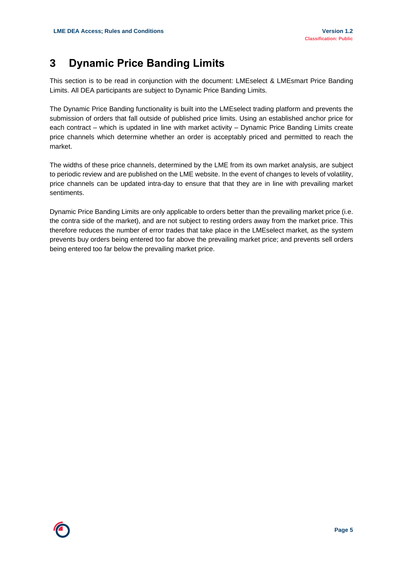## <span id="page-4-0"></span>**3 Dynamic Price Banding Limits**

This section is to be read in conjunction with the document: LMEselect & LMEsmart Price Banding Limits. All DEA participants are subject to Dynamic Price Banding Limits.

The Dynamic Price Banding functionality is built into the LMEselect trading platform and prevents the submission of orders that fall outside of published price limits. Using an established anchor price for each contract – which is updated in line with market activity – Dynamic Price Banding Limits create price channels which determine whether an order is acceptably priced and permitted to reach the market.

The widths of these price channels, determined by the LME from its own market analysis, are subject to periodic review and are published on the LME website. In the event of changes to levels of volatility, price channels can be updated intra-day to ensure that that they are in line with prevailing market sentiments.

Dynamic Price Banding Limits are only applicable to orders better than the prevailing market price (i.e. the contra side of the market), and are not subject to resting orders away from the market price. This therefore reduces the number of error trades that take place in the LMEselect market, as the system prevents buy orders being entered too far above the prevailing market price; and prevents sell orders being entered too far below the prevailing market price.

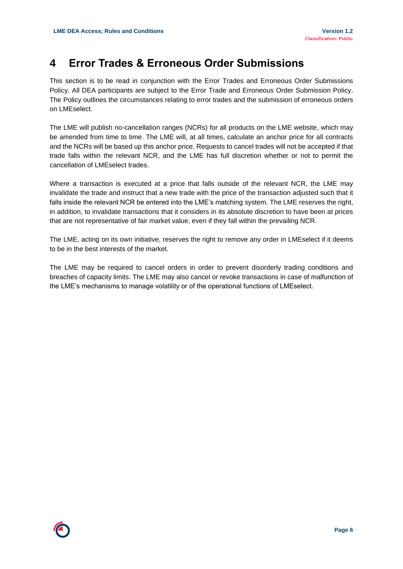## <span id="page-5-0"></span>**4 Error Trades & Erroneous Order Submissions**

This section is to be read in conjunction with the Error Trades and Erroneous Order Submissions Policy. All DEA participants are subject to the Error Trade and Erroneous Order Submission Policy. The Policy outlines the circumstances relating to error trades and the submission of erroneous orders on LMEselect.

The LME will publish no-cancellation ranges (NCRs) for all products on the LME website, which may be amended from time to time. The LME will, at all times, calculate an anchor price for all contracts and the NCRs will be based up this anchor price. Requests to cancel trades will not be accepted if that trade falls within the relevant NCR, and the LME has full discretion whether or not to permit the cancellation of LMEselect trades.

Where a transaction is executed at a price that falls outside of the relevant NCR, the LME may invalidate the trade and instruct that a new trade with the price of the transaction adjusted such that it falls inside the relevant NCR be entered into the LME's matching system. The LME reserves the right, in addition, to invalidate transactions that it considers in its absolute discretion to have been at prices that are not representative of fair market value, even if they fall within the prevailing NCR.

The LME, acting on its own initiative, reserves the right to remove any order in LMEselect if it deems to be in the best interests of the market.

The LME may be required to cancel orders in order to prevent disorderly trading conditions and breaches of capacity limits. The LME may also cancel or revoke transactions in case of malfunction of the LME's mechanisms to manage volatility or of the operational functions of LMEselect.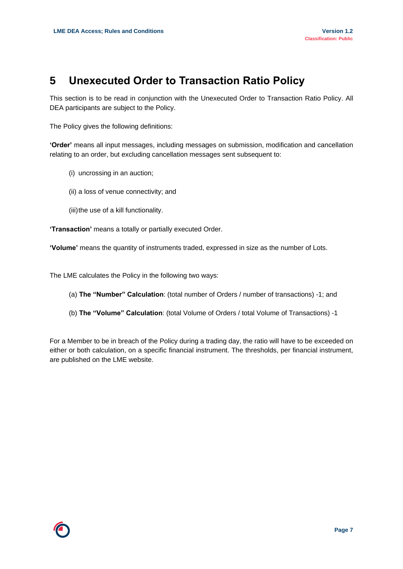## <span id="page-6-0"></span>**5 Unexecuted Order to Transaction Ratio Policy**

This section is to be read in conjunction with the Unexecuted Order to Transaction Ratio Policy. All DEA participants are subject to the Policy.

The Policy gives the following definitions:

**'Order'** means all input messages, including messages on submission, modification and cancellation relating to an order, but excluding cancellation messages sent subsequent to:

- (i) uncrossing in an auction;
- (ii) a loss of venue connectivity; and
- (iii) the use of a kill functionality.

**'Transaction'** means a totally or partially executed Order.

**'Volume'** means the quantity of instruments traded, expressed in size as the number of Lots.

The LME calculates the Policy in the following two ways:

- (a) **The "Number" Calculation**: (total number of Orders / number of transactions) -1; and
- (b) **The "Volume" Calculation**: (total Volume of Orders / total Volume of Transactions) -1

For a Member to be in breach of the Policy during a trading day, the ratio will have to be exceeded on either or both calculation, on a specific financial instrument. The thresholds, per financial instrument, are published on the LME website.

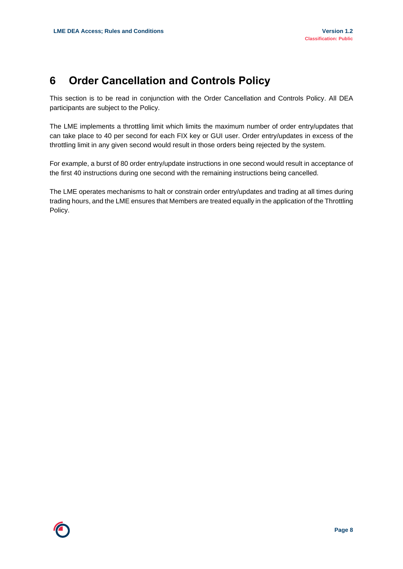## <span id="page-7-0"></span>**6 Order Cancellation and Controls Policy**

This section is to be read in conjunction with the Order Cancellation and Controls Policy. All DEA participants are subject to the Policy.

The LME implements a throttling limit which limits the maximum number of order entry/updates that can take place to 40 per second for each FIX key or GUI user. Order entry/updates in excess of the throttling limit in any given second would result in those orders being rejected by the system.

For example, a burst of 80 order entry/update instructions in one second would result in acceptance of the first 40 instructions during one second with the remaining instructions being cancelled.

The LME operates mechanisms to halt or constrain order entry/updates and trading at all times during trading hours, and the LME ensures that Members are treated equally in the application of the Throttling Policy.